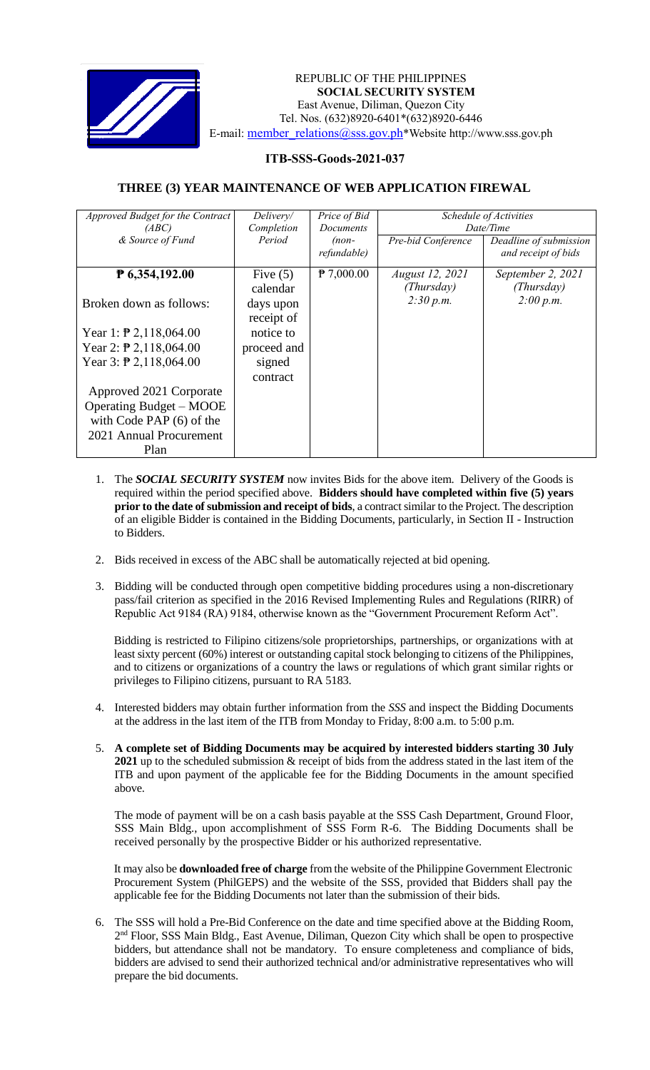

 *Invitation to Bid* REPUBLIC OF THE PHILIPPINES **SOCIAL SECURITY SYSTEM** East Avenue, Diliman, Quezon City Tel. Nos. (632)8920-6401\*(632)8920-6446 E-mail: [member\\_relations@sss.gov.ph](mailto:member_relations@sss.gov.ph)\*Website http://www.sss.gov.ph

## **ITB-SSS-Goods-2021-037**

## **THREE (3) YEAR MAINTENANCE OF WEB APPLICATION FIREWAL**

| <i>Approved Budget for the Contract</i><br>(ABC)<br>& Source of Fund                                                                                                                                                                                                                           | Delivery/<br>Completion<br>Period                                                                   | Price of Bid<br>Documents<br>$(non-$<br>refundable) | Pre-bid Conference                         | Schedule of Activities<br>Date/Time<br>Deadline of submission<br>and receipt of bids |
|------------------------------------------------------------------------------------------------------------------------------------------------------------------------------------------------------------------------------------------------------------------------------------------------|-----------------------------------------------------------------------------------------------------|-----------------------------------------------------|--------------------------------------------|--------------------------------------------------------------------------------------|
| $P$ 6,354,192.00<br>Broken down as follows:<br>Year 1: $\overline{P}$ 2,118,064.00<br>Year 2: $\overline{P}$ 2,118,064.00<br>Year 3: $\overline{P}$ 2,118,064.00<br>Approved 2021 Corporate<br><b>Operating Budget – MOOE</b><br>with Code PAP $(6)$ of the<br>2021 Annual Procurement<br>Plan | Five $(5)$<br>calendar<br>days upon<br>receipt of<br>notice to<br>proceed and<br>signed<br>contract | $P$ 7,000.00                                        | August 12, 2021<br>(Thursday)<br>2:30 p.m. | September 2, 2021<br>(Thursday)<br>2:00 p.m.                                         |

- 1. The *SOCIAL SECURITY SYSTEM* now invites Bids for the above item. Delivery of the Goods is required within the period specified above. **Bidders should have completed within five (5) years prior to the date of submission and receipt of bids**, a contract similar to the Project. The description of an eligible Bidder is contained in the Bidding Documents, particularly, in Section II - Instruction to Bidders.
- 2. Bids received in excess of the ABC shall be automatically rejected at bid opening.
- 3. Bidding will be conducted through open competitive bidding procedures using a non-discretionary pass/fail criterion as specified in the 2016 Revised Implementing Rules and Regulations (RIRR) of Republic Act 9184 (RA) 9184, otherwise known as the "Government Procurement Reform Act".

Bidding is restricted to Filipino citizens/sole proprietorships, partnerships, or organizations with at least sixty percent (60%) interest or outstanding capital stock belonging to citizens of the Philippines, and to citizens or organizations of a country the laws or regulations of which grant similar rights or privileges to Filipino citizens, pursuant to RA 5183.

- 4. Interested bidders may obtain further information from the *SSS* and inspect the Bidding Documents at the address in the last item of the ITB from Monday to Friday, 8:00 a.m. to 5:00 p.m.
- 5. **A complete set of Bidding Documents may be acquired by interested bidders starting 30 July 2021** up to the scheduled submission & receipt of bids from the address stated in the last item of the ITB and upon payment of the applicable fee for the Bidding Documents in the amount specified above.

The mode of payment will be on a cash basis payable at the SSS Cash Department, Ground Floor, SSS Main Bldg., upon accomplishment of SSS Form R-6. The Bidding Documents shall be received personally by the prospective Bidder or his authorized representative.

It may also be **downloaded free of charge** from the website of the Philippine Government Electronic Procurement System (PhilGEPS) and the website of the SSS*,* provided that Bidders shall pay the applicable fee for the Bidding Documents not later than the submission of their bids.

6. The SSS will hold a Pre-Bid Conference on the date and time specified above at the Bidding Room, 2<sup>nd</sup> Floor, SSS Main Bldg., East Avenue, Diliman, Quezon City which shall be open to prospective bidders, but attendance shall not be mandatory. To ensure completeness and compliance of bids, bidders are advised to send their authorized technical and/or administrative representatives who will prepare the bid documents.